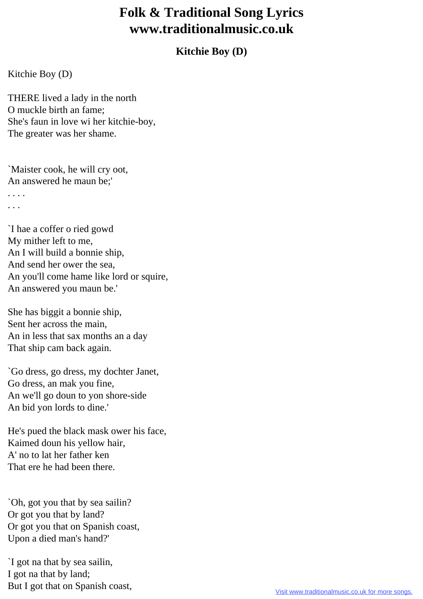## **Folk & Traditional Song Lyrics www.traditionalmusic.co.uk**

## **Kitchie Boy (D)**

## Kitchie Boy (D)

THERE lived a lady in the north O muckle birth an fame; She's faun in love wi her kitchie-boy, The greater was her shame.

`Maister cook, he will cry oot, An answered he maun be;' . . . . . . .

`I hae a coffer o ried gowd My mither left to me, An I will build a bonnie ship, And send her ower the sea, An you'll come hame like lord or squire, An answered you maun be.'

She has biggit a bonnie ship, Sent her across the main, An in less that sax months an a day That ship cam back again.

`Go dress, go dress, my dochter Janet, Go dress, an mak you fine, An we'll go doun to yon shore-side An bid yon lords to dine.'

He's pued the black mask ower his face, Kaimed doun his yellow hair, A' no to lat her father ken That ere he had been there.

`Oh, got you that by sea sailin? Or got you that by land? Or got you that on Spanish coast, Upon a died man's hand?'

`I got na that by sea sailin, I got na that by land; But I got that on Spanish coast,